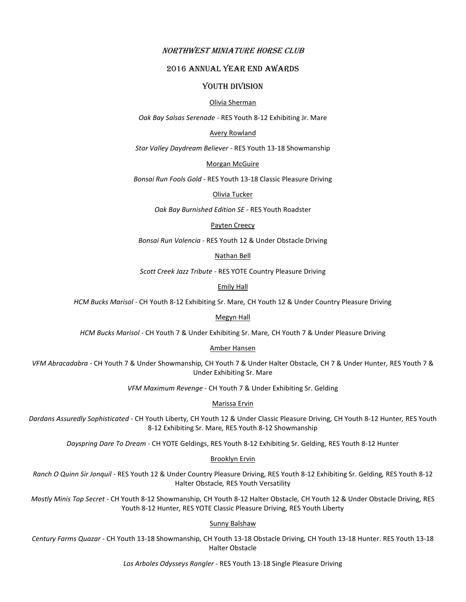## Northwest Miniature Horse Club

# 2016 Annual YEAR END Awards

## YOUTH DIVISION

## Olivia Sherman

*Oak Bay Salsas Serenade -* RES Youth 8-12 Exhibiting Jr. Mare

## Avery Rowland

*Star Valley Daydream Believer -* RES Youth 13-18 Showmanship

### Morgan McGuire

*Bonsai Run Fools Gold -* RES Youth 13-18 Classic Pleasure Driving

## Olivia Tucker

*Oak Bay Burnished Edition SE -* RES Youth Roadster

## Payten Creecy

*Bonsai Run Valencia -* RES Youth 12 & Under Obstacle Driving

### Nathan Bell

*Scott Creek Jazz Tribute -* RES YOTE Country Pleasure Driving

Emily Hall

*HCM Bucks Marisol -* CH Youth 8-12 Exhibiting Sr. Mare*,* CH Youth 12 & Under Country Pleasure Driving

## Megyn Hall

*HCM Bucks Marisol -* CH Youth 7 & Under Exhibiting Sr. Mare*,* CH Youth 7 & Under Pleasure Driving

#### Amber Hansen

*VFM Abracadabra -* CH Youth 7 & Under Showmanship*,* CH Youth 7 & Under Halter Obstacle*,* CH 7 & Under Hunter*,* RES Youth 7 & Under Exhibiting Sr. Mare

*VFM Maximum Revenge -* CH Youth 7 & Under Exhibiting Sr. Gelding

## Marissa Ervin

*Dardans Assuredly Sophisticated -* CH Youth Liberty*,* CH Youth 12 & Under Classic Pleasure Driving*,* CH Youth 8-12 Hunter*,* RES Youth 8-12 Exhibiting Sr. Mare*,* RES Youth 8-12 Showmanship

*Dayspring Dare To Dream -* CH YOTE Geldings, RES Youth 8-12 Exhibiting Sr. Gelding, RES Youth 8-12 Hunter

### Brooklyn Ervin

*Ranch O Quinn Sir Jonquil -* RES Youth 12 & Under Country Pleasure Driving*,* RES Youth 8-12 Exhibiting Sr. Gelding*,* RES Youth 8-12 Halter Obstacle*,* RES Youth Versatility

*Mostly Minis Top Secret -* CH Youth 8-12 Showmanship*,* CH Youth 8-12 Halter Obstacle*,* CH Youth 12 & Under Obstacle Driving*,* RES Youth 8-12 Hunter*,* RES YOTE Classic Pleasure Driving*,* RES Youth Liberty

## Sunny Balshaw

*Century Farms Quazar -* CH Youth 13-18 Showmanship*,* CH Youth 13-18 Obstacle Driving*,* CH Youth 13-18 Hunter. RES Youth 13-18 Halter Obstacle

*Los Arboles Odysseys Rangler -* RES Youth 13-18 Single Pleasure Driving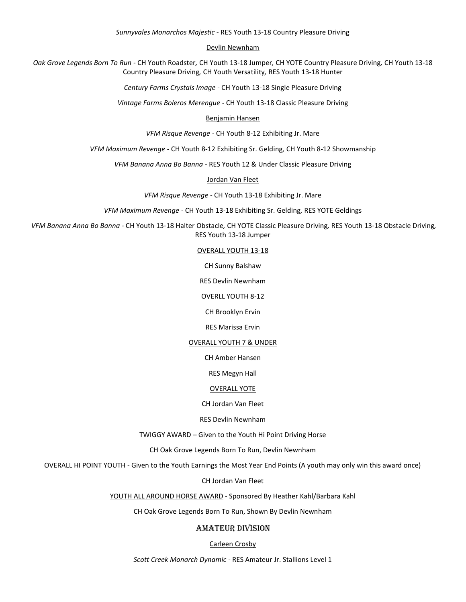*Sunnyvales Monarchos Majestic -* RES Youth 13-18 Country Pleasure Driving

Devlin Newnham

*Oak Grove Legends Born To Run -* CH Youth Roadster*,* CH Youth 13-18 Jumper*,* CH YOTE Country Pleasure Driving*,* CH Youth 13-18 Country Pleasure Driving*,* CH Youth Versatility*,* RES Youth 13-18 Hunter

*Century Farms Crystals Image -* CH Youth 13-18 Single Pleasure Driving

*Vintage Farms Boleros Merengue -* CH Youth 13-18 Classic Pleasure Driving

Benjamin Hansen

*VFM Risque Revenge -* CH Youth 8-12 Exhibiting Jr. Mare

*VFM Maximum Revenge -* CH Youth 8-12 Exhibiting Sr. Gelding*,* CH Youth 8-12 Showmanship

*VFM Banana Anna Bo Banna -* RES Youth 12 & Under Classic Pleasure Driving

Jordan Van Fleet

*VFM Risque Revenge -* CH Youth 13-18 Exhibiting Jr. Mare

*VFM Maximum Revenge -* CH Youth 13-18 Exhibiting Sr. Gelding*,* RES YOTE Geldings

*VFM Banana Anna Bo Banna -* CH Youth 13-18 Halter Obstacle*,* CH YOTE Classic Pleasure Driving*,* RES Youth 13-18 Obstacle Driving*,*  RES Youth 13-18 Jumper

## OVERALL YOUTH 13-18

CH Sunny Balshaw

RES Devlin Newnham

## OVERLL YOUTH 8-12

CH Brooklyn Ervin

### RES Marissa Ervin

## OVERALL YOUTH 7 & UNDER

CH Amber Hansen

RES Megyn Hall

### OVERALL YOTE

CH Jordan Van Fleet

RES Devlin Newnham

TWIGGY AWARD – Given to the Youth Hi Point Driving Horse

CH Oak Grove Legends Born To Run, Devlin Newnham

OVERALL HI POINT YOUTH - Given to the Youth Earnings the Most Year End Points (A youth may only win this award once)

CH Jordan Van Fleet

YOUTH ALL AROUND HORSE AWARD - Sponsored By Heather Kahl/Barbara Kahl

CH Oak Grove Legends Born To Run, Shown By Devlin Newnham

# AMATEUR Division

## Carleen Crosby

*Scott Creek Monarch Dynamic -* RES Amateur Jr. Stallions Level 1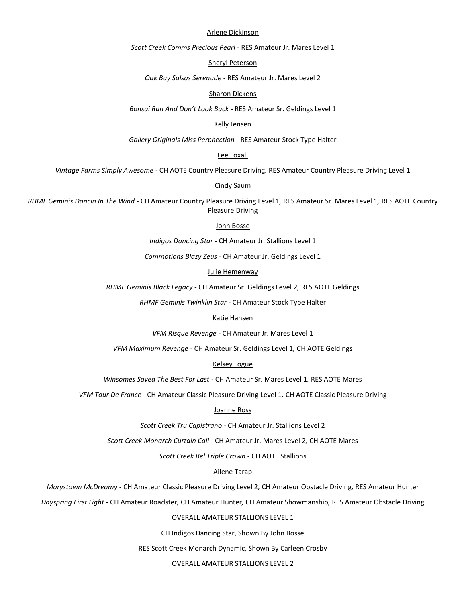### Arlene Dickinson

*Scott Creek Comms Precious Pearl -* RES Amateur Jr. Mares Level 1

Sheryl Peterson

*Oak Bay Salsas Serenade -* RES Amateur Jr. Mares Level 2

### Sharon Dickens

*Bonsai Run And Don't Look Back -* RES Amateur Sr. Geldings Level 1

## Kelly Jensen

*Gallery Originals Miss Perphection -* RES Amateur Stock Type Halter

## Lee Foxall

*Vintage Farms Simply Awesome -* CH AOTE Country Pleasure Driving*,* RES Amateur Country Pleasure Driving Level 1

#### Cindy Saum

*RHMF Geminis Dancin In The Wind -* CH Amateur Country Pleasure Driving Level 1*,* RES Amateur Sr. Mares Level 1*,* RES AOTE Country Pleasure Driving

## John Bosse

*Indigos Dancing Star -* CH Amateur Jr. Stallions Level 1

*Commotions Blazy Zeus -* CH Amateur Jr. Geldings Level 1

#### Julie Hemenway

*RHMF Geminis Black Legacy -* CH Amateur Sr. Geldings Level 2*,* RES AOTE Geldings

*RHMF Geminis Twinklin Star* - CH Amateur Stock Type Halter

### Katie Hansen

*VFM Risque Revenge -* CH Amateur Jr. Mares Level 1

*VFM Maximum Revenge -* CH Amateur Sr. Geldings Level 1*,* CH AOTE Geldings

#### Kelsey Logue

*Winsomes Saved The Best For Last -* CH Amateur Sr. Mares Level 1*,* RES AOTE Mares

*VFM Tour De France -* CH Amateur Classic Pleasure Driving Level 1*,* CH AOTE Classic Pleasure Driving

#### Joanne Ross

*Scott Creek Tru Capistrano -* CH Amateur Jr. Stallions Level 2

*Scott Creek Monarch Curtain Call -* CH Amateur Jr. Mares Level 2*,* CH AOTE Mares

*Scott Creek Bel Triple Crown -* CH AOTE Stallions

## Ailene Tarap

*Marystown McDreamy -* CH Amateur Classic Pleasure Driving Level 2*,* CH Amateur Obstacle Driving*,* RES Amateur Hunter

*Dayspring First Light -* CH Amateur Roadster*,* CH Amateur Hunter*,* CH Amateur Showmanship*,* RES Amateur Obstacle Driving

## OVERALL AMATEUR STALLIONS LEVEL 1

CH Indigos Dancing Star, Shown By John Bosse

RES Scott Creek Monarch Dynamic, Shown By Carleen Crosby

OVERALL AMATEUR STALLIONS LEVEL 2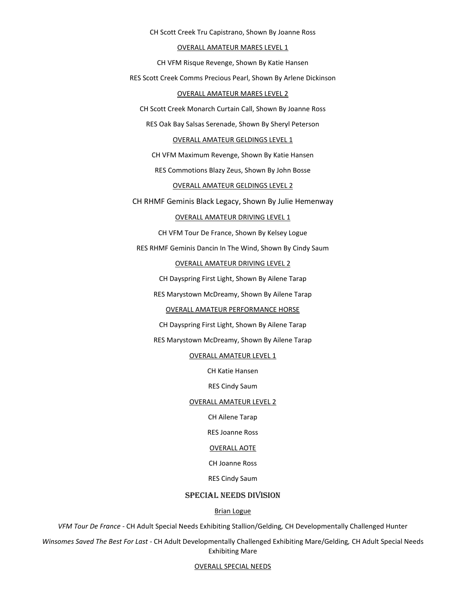CH Scott Creek Tru Capistrano, Shown By Joanne Ross

### OVERALL AMATEUR MARES LEVEL 1

CH VFM Risque Revenge, Shown By Katie Hansen

RES Scott Creek Comms Precious Pearl, Shown By Arlene Dickinson

## OVERALL AMATEUR MARES LEVEL 2

CH Scott Creek Monarch Curtain Call, Shown By Joanne Ross

RES Oak Bay Salsas Serenade, Shown By Sheryl Peterson

### OVERALL AMATEUR GELDINGS LEVEL 1

CH VFM Maximum Revenge, Shown By Katie Hansen

RES Commotions Blazy Zeus, Shown By John Bosse

## OVERALL AMATEUR GELDINGS LEVEL 2

CH RHMF Geminis Black Legacy, Shown By Julie Hemenway

## OVERALL AMATEUR DRIVING LEVEL 1

CH VFM Tour De France, Shown By Kelsey Logue

RES RHMF Geminis Dancin In The Wind, Shown By Cindy Saum

## OVERALL AMATEUR DRIVING LEVEL 2

CH Dayspring First Light, Shown By Ailene Tarap

RES Marystown McDreamy, Shown By Ailene Tarap

### OVERALL AMATEUR PERFORMANCE HORSE

CH Dayspring First Light, Shown By Ailene Tarap

## RES Marystown McDreamy, Shown By Ailene Tarap

## OVERALL AMATEUR LEVEL 1

CH Katie Hansen

RES Cindy Saum

### OVERALL AMATEUR LEVEL 2

CH Ailene Tarap

RES Joanne Ross

## OVERALL AOTE

## CH Joanne Ross

### RES Cindy Saum

## SPECIAL NEEDS division

### Brian Logue

*VFM Tour De France -* CH Adult Special Needs Exhibiting Stallion/Gelding*,* CH Developmentally Challenged Hunter

*Winsomes Saved The Best For Last -* CH Adult Developmentally Challenged Exhibiting Mare/Gelding*,* CH Adult Special Needs Exhibiting Mare

### OVERALL SPECIAL NEEDS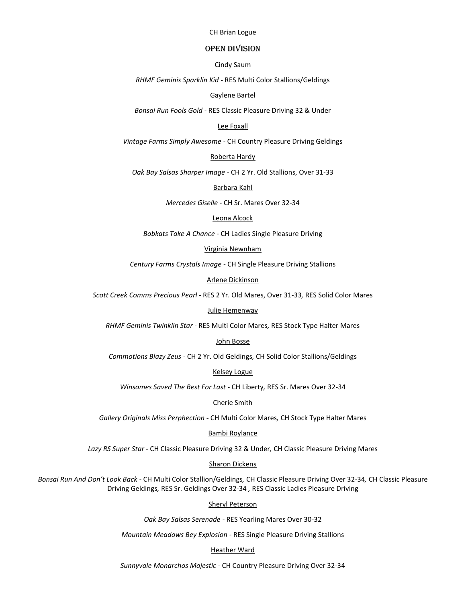### CH Brian Logue

## OPEN division

Cindy Saum

*RHMF Geminis Sparklin Kid -* RES Multi Color Stallions/Geldings

### Gaylene Bartel

*Bonsai Run Fools Gold -* RES Classic Pleasure Driving 32 & Under

### Lee Foxall

*Vintage Farms Simply Awesome -* CH Country Pleasure Driving Geldings

### Roberta Hardy

*Oak Bay Salsas Sharper Image -* CH 2 Yr. Old Stallions, Over 31-33

Barbara Kahl

*Mercedes Giselle -* CH Sr. Mares Over 32-34

#### Leona Alcock

*Bobkats Take A Chance -* CH Ladies Single Pleasure Driving

### Virginia Newnham

*Century Farms Crystals Image -* CH Single Pleasure Driving Stallions

Arlene Dickinson

*Scott Creek Comms Precious Pearl -* RES 2 Yr. Old Mares, Over 31-33*,* RES Solid Color Mares

#### Julie Hemenway

*RHMF Geminis Twinklin Star -* RES Multi Color Mares*,* RES Stock Type Halter Mares

### John Bosse

*Commotions Blazy Zeus -* CH 2 Yr. Old Geldings*,* CH Solid Color Stallions/Geldings

## Kelsey Logue

*Winsomes Saved The Best For Last -* CH Liberty*,* RES Sr. Mares Over 32-34

### Cherie Smith

*Gallery Originals Miss Perphection -* CH Multi Color Mares*,* CH Stock Type Halter Mares

### Bambi Roylance

*Lazy RS Super Star -* CH Classic Pleasure Driving 32 & Under*,* CH Classic Pleasure Driving Mares

### Sharon Dickens

*Bonsai Run And Don't Look Back -* CH Multi Color Stallion/Geldings*,* CH Classic Pleasure Driving Over 32-34*,* CH Classic Pleasure Driving Geldings*,* RES Sr. Geldings Over 32-34 *,* RES Classic Ladies Pleasure Driving

## Sheryl Peterson

*Oak Bay Salsas Serenade -* RES Yearling Mares Over 30-32

*Mountain Meadows Bey Explosion -* RES Single Pleasure Driving Stallions

#### Heather Ward

*Sunnyvale Monarchos Majestic -* CH Country Pleasure Driving Over 32-34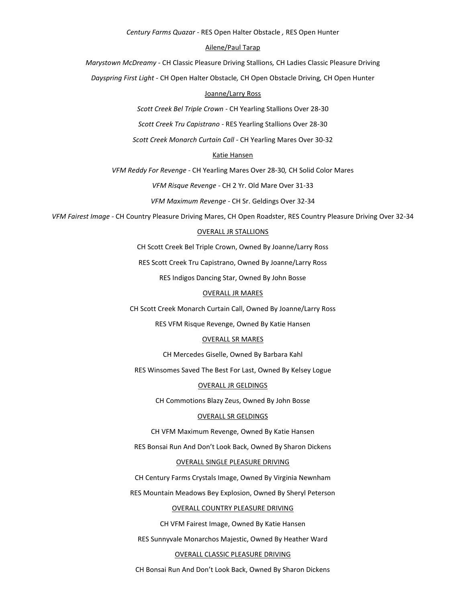*Century Farms Quazar -* RES Open Halter Obstacle *,* RES Open Hunter

## Ailene/Paul Tarap

*Marystown McDreamy -* CH Classic Pleasure Driving Stallions*,* CH Ladies Classic Pleasure Driving

*Dayspring First Light -* CH Open Halter Obstacle*,* CH Open Obstacle Driving*,* CH Open Hunter

## Joanne/Larry Ross

*Scott Creek Bel Triple Crown -* CH Yearling Stallions Over 28-30

*Scott Creek Tru Capistrano -* RES Yearling Stallions Over 28-30

*Scott Creek Monarch Curtain Call -* CH Yearling Mares Over 30-32

### Katie Hansen

*VFM Reddy For Revenge -* CH Yearling Mares Over 28-30*,* CH Solid Color Mares

*VFM Risque Revenge -* CH 2 Yr. Old Mare Over 31-33

*VFM Maximum Revenge -* CH Sr. Geldings Over 32-34

*VFM Fairest Image -* CH Country Pleasure Driving Mares, CH Open Roadster, RES Country Pleasure Driving Over 32-34

### OVERALL JR STALLIONS

CH Scott Creek Bel Triple Crown, Owned By Joanne/Larry Ross

RES Scott Creek Tru Capistrano, Owned By Joanne/Larry Ross

RES Indigos Dancing Star, Owned By John Bosse

## OVERALL JR MARES

CH Scott Creek Monarch Curtain Call, Owned By Joanne/Larry Ross

RES VFM Risque Revenge, Owned By Katie Hansen

### OVERALL SR MARES

CH Mercedes Giselle, Owned By Barbara Kahl

RES Winsomes Saved The Best For Last, Owned By Kelsey Logue

### OVERALL JR GELDINGS

CH Commotions Blazy Zeus, Owned By John Bosse

### OVERALL SR GELDINGS

CH VFM Maximum Revenge, Owned By Katie Hansen

RES Bonsai Run And Don't Look Back, Owned By Sharon Dickens

### OVERALL SINGLE PLEASURE DRIVING

CH Century Farms Crystals Image, Owned By Virginia Newnham

RES Mountain Meadows Bey Explosion, Owned By Sheryl Peterson

## OVERALL COUNTRY PLEASURE DRIVING

CH VFM Fairest Image, Owned By Katie Hansen

RES Sunnyvale Monarchos Majestic, Owned By Heather Ward

### OVERALL CLASSIC PLEASURE DRIVING

CH Bonsai Run And Don't Look Back, Owned By Sharon Dickens